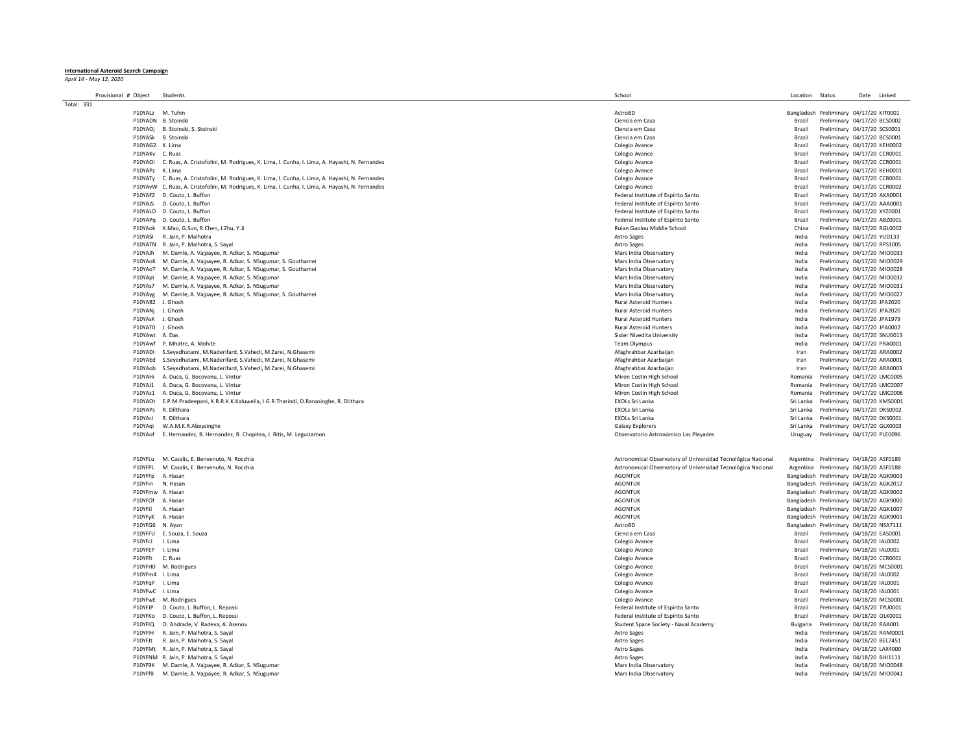## **International Asteroid Search Campaign** *April 14 - May 12, 2020*

| Provisional # Object | Students                                                                                             | School                                                       | Location Status |                                         | Date Linked |
|----------------------|------------------------------------------------------------------------------------------------------|--------------------------------------------------------------|-----------------|-----------------------------------------|-------------|
| Total: 331           |                                                                                                      |                                                              |                 |                                         |             |
|                      | P10YALz M. Tuhin                                                                                     | AstroBD                                                      |                 | Bangladesh Preliminary 04/17/20 KIT0001 |             |
|                      | P10YADN B. Stoinski                                                                                  | Ciencia em Casa                                              | Brazil          | Preliminary 04/17/20 BCS0002            |             |
| P10YAOi              | B. Stoinski, S. Stoinski                                                                             | Ciencia em Casa                                              | <b>Brazil</b>   | Preliminary 04/17/20 SCS0001            |             |
| P10YASk              | B. Stoinski                                                                                          | Ciencia em Casa                                              | Brazil          | Preliminary 04/17/20 BCS0001            |             |
| P10YAG2              | K. Lima                                                                                              | Colegio Avance                                               | <b>Brazil</b>   | Preliminary 04/17/20 KEH0002            |             |
| P10YAKv              | C. Ruas                                                                                              | Colegio Avance                                               | Brazil          | Preliminary 04/17/20 CCR0001            |             |
| P10YAOi              | C. Ruas, A. Cristofolini, M. Rodrigues, K. Lima, I. Cunha, I. Lima, A. Hayashi, N. Fernandes         | Colegio Avance                                               | Brazil          | Preliminary 04/17/20 CCR0001            |             |
| P10YAPz              | K. Lima                                                                                              | Colegio Avance                                               | Brazil          | Preliminary 04/17/20 KEH0001            |             |
|                      |                                                                                                      |                                                              |                 |                                         |             |
| P10YATv              | C. Ruas, A. Cristofolini, M. Rodrigues, K. Lima, I. Cunha, I. Lima, A. Hayashi, N. Fernandes         | Colegio Avance                                               | Brazil          | Preliminary 04/17/20 CCR0001            |             |
|                      | P10YAvW C. Ruas, A. Cristofolini, M. Rodrigues, K. Lima, I. Cunha, I. Lima, A. Hayashi, N. Fernandes | Colegio Avance                                               | <b>Brazil</b>   | Preliminary 04/17/20 CCR0002            |             |
|                      | P10YAFZ D. Couto, L. Buffon                                                                          | Federal Institute of Espírito Santo                          | Brazil          | Preliminary 04/17/20 AKA0001            |             |
| P10YAIS              | D. Couto, L. Buffon                                                                                  | Federal Institute of Espírito Santo                          | <b>Brazil</b>   | Preliminary 04/17/20 AAA0001            |             |
|                      | P10YALO D. Couto, L. Buffon                                                                          | Federal Institute of Espírito Santo                          | Brazil          | Preliminary 04/17/20 XYZ0001            |             |
|                      | P10YAPq D. Couto, L. Buffon                                                                          | Federal Institute of Espírito Santo                          | Brazil          | Preliminary 04/17/20 ABZ0001            |             |
|                      | P10YAok X.Mao, G.Sun, R.Chen, J.Zhu, Y.Ji                                                            | Ruian Gaolou Middle School                                   | China           | Preliminary 04/17/20 RGL0002            |             |
| P10YASI              | R. Jain, P. Malhotra                                                                                 | <b>Astro Sages</b>                                           | India           | Preliminary 04/17/20 YUD133             |             |
|                      | P10YATN R. Jain, P. Malhotra, S. Sayal                                                               | Astro Sages                                                  | India           | Preliminary 04/17/20 RPS1005            |             |
| P10YAJh              |                                                                                                      |                                                              | India           |                                         |             |
|                      | M. Damle, A. Vajpayee, R. Adkar, S. NSugumar                                                         | Mars India Observatory                                       |                 | Preliminary 04/17/20 MIO0033            |             |
| P10YAoK              | M. Damle, A. Vajpayee, R. Adkar, S. NSugumar, S. Gouthamei                                           | Mars India Observatory                                       | India           | Preliminary 04/17/20 MIO0029            |             |
| P10YAoT              | M. Damle, A. Vajpayee, R. Adkar, S. NSugumar, S. Gouthamei                                           | Mars India Observatory                                       | India           | Preliminary 04/17/20 MIO0028            |             |
| P10YApl              | M. Damle, A. Vajpayee, R. Adkar, S. NSugumar                                                         | Mars India Observatory                                       | India           | Preliminary 04/17/20 MIO0032            |             |
| P10YAs7              | M. Damle, A. Vajpayee, R. Adkar, S. NSugumar                                                         | Mars India Observatory                                       | India           | Preliminary 04/17/20 MIO0031            |             |
| P10YAyg              | M. Damle, A. Vajpayee, R. Adkar, S. NSugumar, S. Gouthamei                                           | Mars India Observatory                                       | India           | Preliminary 04/17/20 MIO0027            |             |
| P10YAB2              | J. Ghosh                                                                                             | <b>Rural Asteroid Hunters</b>                                | India           | Preliminary 04/17/20 JPA2020            |             |
| P10YANj              | J. Ghosh                                                                                             | <b>Rural Asteroid Hunters</b>                                | India           | Preliminary 04/17/20 JPA2020            |             |
| P10YAsK              | J. Ghosh                                                                                             | <b>Rural Asteroid Hunters</b>                                | India           | Preliminary 04/17/20 JPA1979            |             |
| P10YAT0              | J. Ghosh                                                                                             | <b>Rural Asteroid Hunters</b>                                | India           |                                         |             |
|                      |                                                                                                      |                                                              |                 | Preliminary 04/17/20 JPA0002            |             |
| P10YAwt A. Das       |                                                                                                      | Sister Nivedita University                                   | India           | Preliminary 04/17/20 SNU0013            |             |
| P10YAwf              | P. Mhatre, A. Mohite                                                                                 | Team Olympus                                                 | India           | Preliminary 04/17/20 PRA0001            |             |
| P10YADI              | S.Seyedhatami, M.Naderifard, S.Vahedi, M.Zarei, N.Ghasemi                                            | Afaghrahbar Azarbaijan                                       | Iran            | Preliminary 04/17/20 ARA0002            |             |
| P10YAEd              | S.Seyedhatami, M.Naderifard, S.Vahedi, M.Zarei, N.Ghasemi                                            | Afaghrahbar Azarbaijan                                       | Iran            | Preliminary 04/17/20 ARA0001            |             |
|                      | P10YAob S.Seyedhatami, M.Naderifard, S.Vahedi, M.Zarei, N.Ghasemi                                    | Afaghrahbar Azarbaijan                                       | Iran            | Preliminary 04/17/20 ARA0003            |             |
| P10YAHi              | A. Duca, G. Bocovanu, L. Vintur                                                                      | Miron Costin High School                                     | Romania         | Preliminary 04/17/20 LMC0005            |             |
|                      | P10YAJ1 A. Duca, G. Bocovanu, L. Vintur                                                              | Miron Costin High School                                     | Romania         | Preliminary 04/17/20 LMC0007            |             |
|                      | P10YAz1 A. Duca, G. Bocovanu, L. Vintur                                                              | Miron Costin High School                                     | Romania         |                                         |             |
| P10YAOt              |                                                                                                      |                                                              |                 | Preliminary 04/17/20 LMC0006            |             |
|                      | E.P.M.Pradeepani, K.R.R.K.K.Kaluwella, I.G.R.Tharindi, D.Ranasinghe, R. Dilthara                     | EXOLs Sri Lanka                                              | Sri Lanka       | Preliminary 04/17/20 KMS0001            |             |
| P10YAPs              | R. Dilthara                                                                                          | EXOLs Sri Lanka                                              | Sri Lanka       | Preliminary 04/17/20 DKS0002            |             |
| P10YArl              | R. Dilthara                                                                                          | <b>EXOLs Sri Lanka</b>                                       | Sri Lanka       | Preliminary 04/17/20 DKS0001            |             |
| P10YAgi              | W.A.M.K.R.Abeysinghe                                                                                 | Galaxy Explorers                                             | Sri Lanka       | Preliminary 04/17/20 GLX0003            |             |
| P10YAof              | E. Hernandez, B. Hernandez, R. Chopitea, J. Ritis, M. Leguizamon                                     | Observatorio Astronómico Las Pleyades                        | Uruguay         | Preliminary 04/17/20 PLE0096            |             |
| P10YFLu              | M. Casalis, E. Benvenuto, N. Rocchia                                                                 | Astronomical Observatory of Universidad Tecnológica Nacional |                 | Argentina Preliminary 04/18/20 ASF0189  |             |
| P10YFPL              | M. Casalis, E. Benvenuto, N. Rocchia                                                                 | Astronomical Observatory of Universidad Tecnológica Nacional |                 | Argentina Preliminary 04/18/20 ASF0188  |             |
| P10YFFp              | A. Hasan                                                                                             | <b>AGONTUK</b>                                               |                 | Bangladesh Preliminary 04/18/20 AGK9003 |             |
| P10YFin              | N. Hasan                                                                                             | <b>AGONTUK</b>                                               |                 | Bangladesh Preliminary 04/18/20 AGK2012 |             |
| P10YFmw A. Hasan     |                                                                                                      | <b>AGONTUK</b>                                               |                 |                                         |             |
|                      |                                                                                                      |                                                              |                 | Bangladesh Preliminary 04/18/20 AGK9002 |             |
| P10YFOf              | A. Hasan                                                                                             | <b>AGONTUK</b>                                               |                 | Bangladesh Preliminary 04/18/20 AGK9000 |             |
| P10YFtl              | A. Hasan                                                                                             | <b>AGONTUK</b>                                               |                 | Bangladesh Preliminary 04/18/20 AGK1007 |             |
| P10YFvK              | A. Hasan                                                                                             | <b>AGONTUK</b>                                               |                 | Bangladesh Preliminary 04/18/20 AGK9001 |             |
| P10YFG6              | N. Ayan                                                                                              | AstroBD                                                      |                 | Bangladesh Preliminary 04/18/20 NSA7111 |             |
| P10YFFU              | E. Souza, E. Souza                                                                                   | Ciencia em Casa                                              | Brazil          | Preliminary 04/18/20 EAS0001            |             |
| P10YFcl              | I. Lima                                                                                              | Colegio Avance                                               | Brazil          | Preliminary 04/18/20 IAL0002            |             |
| P10YFEP              | I. Lima                                                                                              | Colegio Avance                                               | Brazil          | Preliminary 04/18/20 IAL0001            |             |
|                      |                                                                                                      |                                                              |                 |                                         |             |
| P10YFft              | C. Ruas                                                                                              | Colegio Avance                                               | Brazil          | Preliminary 04/18/20 CCR0001            |             |
| P10YFH0              | M. Rodrigues                                                                                         | Colegio Avance                                               | <b>Brazil</b>   | Preliminary 04/18/20 MCS0001            |             |
| P10YFm4 I. Lima      |                                                                                                      | Colegio Avance                                               | Brazil          | Preliminary 04/18/20 IAL0002            |             |
| P10YFqP              | I. Lima                                                                                              | Colegio Avance                                               | Brazil          | Preliminary 04/18/20 IAL0001            |             |
| P10YEwC Llima        |                                                                                                      | Colegio Avance                                               | <b>Brazil</b>   | Preliminary 04/18/20 IAL0001            |             |
|                      | P10YFwE M. Rodrigues                                                                                 | Colegio Avance                                               | Brazil          | Preliminary 04/18/20 MCS0001            |             |
| P10YFIP              | D. Couto, L. Buffon, L. Repossi                                                                      | Federal Institute of Espírito Santo                          | <b>Brazil</b>   | Preliminary 04/18/20 TYU0001            |             |
|                      | P10YFKo D. Couto, L. Buffon, L. Repossi                                                              | Federal Institute of Espírito Santo                          | Brazil          | Preliminary 04/18/20 OLK0001            |             |
|                      |                                                                                                      |                                                              |                 |                                         |             |
|                      | P10YFIQ O. Andrade, V. Radeva, A. Asenov                                                             | Student Space Society - Naval Academy                        | <b>Bulgaria</b> | Preliminary 04/18/20 RAA001             |             |
| P10YFIH              | R. Jain, P. Malhotra, S. Sayal                                                                       | Astro Sages                                                  | India           | Preliminary 04/18/20 RAM0001            |             |
| P10YFJt              | R. Jain, P. Malhotra, S. Sayal                                                                       | Astro Sages                                                  | India           | Preliminary 04/18/20 BEL7451            |             |
|                      | P10YFMt R. Jain, P. Malhotra, S. Sayal                                                               | Astro Sages                                                  | India           | Preliminary 04/18/20 LAX4000            |             |
|                      |                                                                                                      |                                                              | India           | Preliminary 04/18/20 BHI1111            |             |
|                      | P10YFNM R. Jain, P. Malhotra, S. Sayal                                                               | Astro Sages                                                  |                 |                                         |             |
|                      | P10YF9K M. Damle, A. Vajpayee, R. Adkar, S. NSugumar                                                 | Mars India Observatory                                       | India           | Preliminary 04/18/20 MIO0048            |             |
|                      | P10YFfB M. Damle, A. Vajpayee, R. Adkar, S. NSugumar                                                 | Mars India Observatory                                       | India           | Preliminary 04/18/20 MIO0041            |             |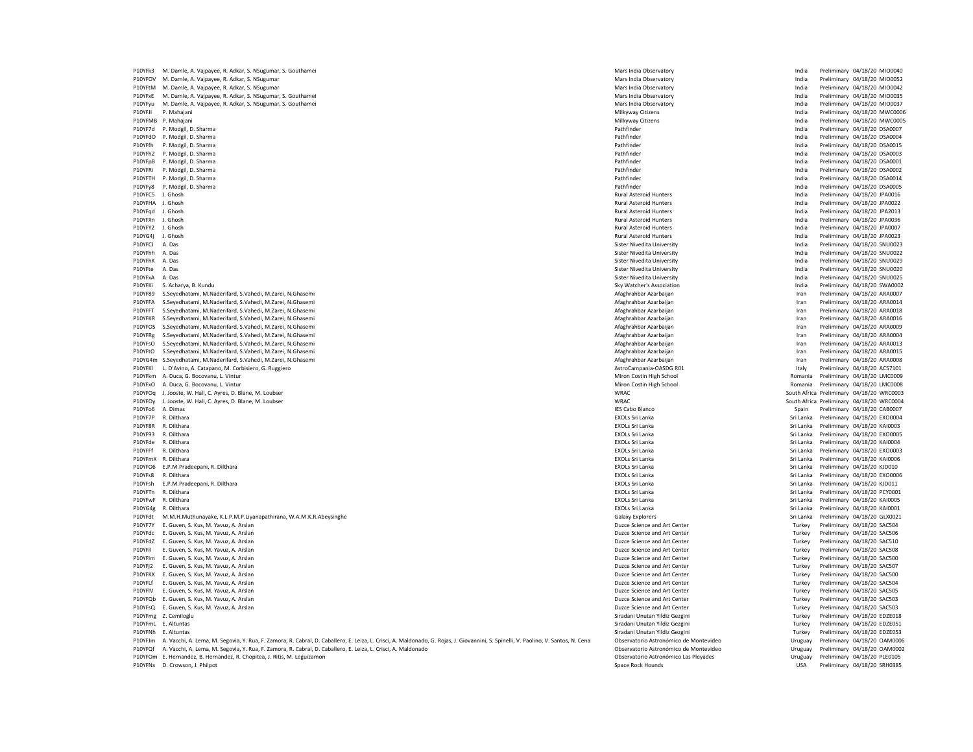P10YFk3 M. Damle, A. Vajpayee, R. Adkar, S. NSugumar, S. Gouthamei Mars India Destruction and a Destruction and a Destruction and a Destruction of Mars India Observatory Mars India Preliminary 04/18/20 MIO0040<br>P10YFOV M. P10YFOV M. Damle, A. Vajpayee, R. Adkar, S. NSugumar Mars India Observatory Mars India Observatory and the Mars India Observatory of the Mars India Preliminary 04/18/20 MIO0052<br>P10YFtM M. Damle, A. Vajpayee, R. Adkar, S. N P10YFtM M. Damle, A. Vajpayee, R. Adkar, S. NSugumar Mars India Observatory India Preliminary 04/18/20 MIO0042 Mars India Preliminary 04/18/20 MIO0035<br>
Mars India Preliminary 04/18/20 MIO0035<br>
Mars India Archiel Deservatory India Preliminary 04/18/20 MIO0037 Mars India Preliminary 04/18/20 MIO0035 P10YFyu M. Damle, A. Vajpayee, R. Adkar, S. NSugumar, S. Gouthamei Mars India District and Declement of Mars India Observatory Mars India Observatory Mars India Preliminary 04/18/20 MIO0037<br>P10YFJI P. Mahajani Preliminary P10YFJI P. Mahajani Milkyway Citizens India Preliminary 04/18/20 MWC0006 P10YFMB P. Mahajani 2012/00/20 MWC0005 Provident and a magazine and a magazine and a magazine preliminary 04/18/20 MWC0005 P10YF7d P. Modgil, D. Sharma Pathfinder India Preliminary 04/18/20 DSA0007 P10YFdO P. Modgil, D. Sharma Pathfinder India Preliminary 04/18/20 DSA0004 P10YFfh P. Modgil, D. Sharma Pathfinder India Preliminary 04/18/20 DSA0015 P10YFh2 P. Modgil, D. Sharma Pathfinder India Preliminary 04/18/20 DSA0003 P10YFpB P. Modgil, D. Sharma Pathfinder India Preliminary 04/18/20 DSA0001 P10YFRi P. Modgil, D. Sharma Pathfinder India Preliminary 04/18/20 DSA0002 P10YFTH P. Modgil, D. Sharma 2004/18/20 DSA0014 Pathfinder States and Declinionary 04/18/20 DSA0014 P10YFy8 P. Modgil, D. Sharma Pathfinder India Preliminary 04/18/20 DSA0005 P10YFC5 J. Ghosh Rural Asteroid Hunters India Preliminary 04/18/20 JPA0016 P10YFHA J. Ghosh Rural Asteroid Hunters India Preliminary 04/18/20 JPA0022 P10YFqd J. Ghosh Rural Asteroid Hunters India Preliminary 04/18/20 JPA2013 P10YFXn J. Ghosh Rural Asteroid Hunters India Preliminary 04/18/20 JPA0036 P10YFY2 J. Ghosh Mural Asteroid Hunters (India Preliminary 04/18/20 JPA0007<br>P10YG4i J. Ghosh India Preliminary 04/18/20 JPA0023 P10YG4j J. Ghosh Rural Asteroid Hunters India Preliminary 04/18/20 JPA0023 P10YFCJ A. Das Sister Nivedita University Sister Nivedita University Sister Nivedita University India Preliminary 04/18/20 SNU0023 P10YFhh A. Das Sister Nivedita University India Preliminary 04/18/20 SNU0022 P10YFhK A. Das Sister Nivedita University Sister Nivedita University Sister Nivedita University India Preliminary 04/18/20 SNU0029 P10YFte A. Das Sister Nivedita University Sister Nivedita University Sister Nivedita University India Preliminary 04/18/20 SNU0020 P10YFxA A. Das Preliminary 04/18/20 SNU0025 ميس Sister Nivedita University Sister Nivedita University India Preliminary 04/18/20 SNU0025<br>P10YFKi S. Acharya, B. Kundu Preliminary 04/18/20 SWA0002 Sky Watcher's Association **Preliminary 04/18/20 SWAO002** Sky Watcher's Association **India Preliminary 04/18/20 SWA0002** P10YF89 S.Seyedhatami, M.Naderifard, S.Vahedi, M.Zarei, N.Ghasemi Afaghrahbar Azarbaijan Iran Preliminary 04/18/20 ARA0007 P10YFFA S.Seyedhatami, M.Naderifard, S.Vahedi, M.Zarei, N.Ghasemi Afaghrahbar Azarbaijan Afaghrahbar Azarbaijan Afaghrahbar Azarbaijan Iran Preliminary 04/18/20 ARA0018<br>P10YFFT S.Seyedhatami, M.Naderifard, S.Vahedi, M.Zare eredhatami, M.Naderifard, S.Vahedi, M.Zarei, N.Ghasemi American Afazarbaidan Ararbaijan Afaghrahbar Azarbaijan and arabaijan ararbaijan arabaijan ararbaijan arabaijan arabaijan arabaijan arabaijan arabaijan arabaijan araba P10YFKR S.Seyedhatami, M.Naderifard, S.Vahedi, M.Zarei, N.Ghasemi Afaghrahbar Azarbaijan Iran Preliminary 04/18/20 ARA0016 P10YFOS S.Seyedhatami, M.Naderifard, S.Vahedi, M.Zarei, N.Ghasemi Afaghrahbar Azarbaijan Afaghrahbar Azarbaijan Afaghrahbar Azarbaijan Preliminary 04/18/20 ARA0009 (1899) 1899 (1899) 1899 (1899) 1899 (1899) 1899 (1899) 189 an Afaghrahbar Azarbaijan Azarei, M.Ghasemi Afaghrahbar Azarbaijan Afaghrahbar Azarbaijan Afaghrahbar Azarbaijan Iran Preliminary 04/18/20 ARA0004<br>Afaghrahbar Azarbaijan Iran Preliminary 04/18/20 ARA0013 Afaghrahbar Azarba P10YFsO S.Seyedhatami, M.Naderifard, S.Vahedi, M.Zarei, N.Ghasemi Arabai Arabaijan Iran Preliminary 04/18/20 Arabaijan Iran Preliminary 04/18/20 Arabaijan Iran Preliminary 04/18/20 Arabaijan Iran Preliminary 04/18/20 Araba P10YFtO S.Seyedhatami, M.Naderifard, S.Vahedi, M.Zarei, N.Ghasemi Afaghrahbar Azarbaijan Afaghrahbar Azarbaijan Iran Preliminary 04/18/20 ARA0015 er P10YG4m S.Seyedhatami, M.Naderifard, S.Vahedi, M.Zarei, N.Ghasemi Afaghrahbar Azarbaijan and Afaghrahbar Azarbaijan and astroCampania-OASDG RO1 and Preliminary 04/18/20 ARA0008<br>P10YFKI L.D'Avino, A. Catapano, M. Corbisi P10YFKl L. D'Avino, A. Catapano, M. Corbisiero, G. Ruggiero **AstroCampania-OASDG Romania-OASDG Romania-OASDG Romania-OASDG Romania-OASDG Romania-OASDG Romania-OASDG Romania-OASDG Romania-OASDG Romania-OASDG Romania-OASDG R** P10YFxO A. Duca, G. Bocovanu, L. Vintur O4/18/20 LMC0008 PHOTO ROMANIC DUCO ALLEY AND MIRON DUCO ALLEY AND MIRON DUCO ALLEY AND MIRON DUCO ALLEY AND MIRON DUCO ALLEY AND MIRON DUCO ALLEY AND MIRON DUCO ALLEY AND MIROR OF A P10YFOq J. Jooste, W. Hall, C. Ayres, D. Blane, M. Loubser WRAC South Africa Preliminary 04/18/20 WRC0003 P10YFOy J. Jooste, W. Hall, C. Ayres, D. Blane, M. Loubser P10YFo6 A. Dimas Note and the Spain Preliminary 04/18/20 CAB0007 Note and the Spain Preliminary 04/18/20 CAB0007 P10YF7P R. Dilthara (Siri Lanka Preliminary 04/18/20 EXO0004) P10YF7P R. Dilthara Sri Lanka Preliminary 04/18/20 EXO0004<br>P10YF8R R. Dilthara (Siri Lanka Preliminary 04/18/20 KAl0003) P10YF8R R. Dilthara Sri Lanka Prelimin P10YF8R R. Dilthara Numa and Dan 2012/20 KAI0003 (P10YF8R R. Dilthara Sri Lanka Sri Lanka Preliminary 04/18/20 KAI0003<br>P10YF93 R Dilthara Preliminary 04/18/20 EXONOS SYONOS Dilthara Sri Lanka Sri Lanka Preliminary 04/18/2 P10YF93 R. Dilthara Sri Lanka Preliminary 04/18/20 EXO0005 R. Dilthara EXOLS Sri Lanka Sri Lanka Dreliminary 04/18/20 EXO0005 P10YFde R. Dilthara Mare and David Sri Lanka Sri Lanka Sri Lanka Sri Lanka Sri Lanka Preliminary 04/18/20 KAI0004<br>P10YFFf R. Dilthara Preliminary 04/18/20 EXO0003 P10YFFf R. Dilthara EXOLs Sri Lanka Sri Lanka Preliminary 04/18/20 EXO0003 P10YFmX R. Dilthara **Exols Sri Lanka** Sri Lanka Sri Lanka Sri Lanka Sri Lanka Sri Lanka Preliminary 04/18/20 KAI0006 P10YFO6 E.P.M.Pradeepani, R. Dilthara entity of the state of the state of the state of the state of the state of the state of the state of the state of the state of the state of the state of the state of the state of the s P10YFs8 R. Dilthara EXOLs Sri Lanka Sri Lanka Preliminary 04/18/20 EXO0006 P10YFTn R. Dilthara EXOLs Sri Lanka Sri Lanka Preliminary 04/18/20 PCY0001 P10YFwF R. Dilthara Nicolar and the Samuel Sri Lanka Sri Lanka Sri Lanka Sri Lanka Preliminary 04/18/20 KAI0005<br>P10YG4ø R. Dilthara Preliminary 04/18/20 KAI0001 (18/20 KAI0001) P10YG4ø R. Dilthara Sri Lanka Preliminary 04 P10YG4g R. Dilthara EXOLs Sri Lanka Sri Lanka Preliminary 04/18/20 KAI0001 P10YFdt M.M.H.Muthunayake, K.L.P.M.P.Liyanapathirana, W.A.M.K.R.Abeysinghe Galaxy Explorers Sri Lanka Preliminary Galaxy Explorers Sri Lanka Preliminary 04/18/20 GLX002<br>P10YEZY E Guyen S Kus M Yanuz A Arslan (A/18/20 GACSM P10YF7Y E. Guven, S. Kus, M. Yavuz, A. Arslan Duzce Stence and Art Center Art Center Preliminary 04/18/20 SAC504 P10YFdc E. Guven, S. Kus, M. Yavuz, A. Arslan Duzce Science and Art Center and Art Center and Art Center and Art Center and Art Center and Art Center and Art Center and Art Center and Art Center and Art Center and Art Cent P10YFdZ E. Guven, S. Kus, M. Yavuz, A. Arslan Duzce Science and Art Center Turkey Preliminary 04/18/20 SAC510 P10YFil E. Guven, S. Kus, M. Yavuz, A. Arslan Duzce Science and Art Center Prefininary of the Muzce Science and Art Center Prefininary Of the Muzce Science and Art Center Prefininary Of the Preliminary 04/18/20 SAC500<br>P10Y P10YFIm E. Guven, S. Kus, M. Yavuz, A. Arslan Duzce Science and Art Center Duzce Science and Art Center Turkey Preliminary 04/18/20 SAC500<br>P10YFi2 E. Guven, S. Kus, M. Yavuz, A. Arslan Duzce Arsland Duzce Science and Art C P10YFj2 E. Guven, S. Kus, M. Yavuz, A. Arslan Duzce Science and Art Center Turkey Preliminary 04/18/20 SAC507 P10YFKX E. Guven, S. Kus, M. Yavuz, A. Arslan Duzce Art Arslan Duzce Science and Art Center Turkey Preliminary 04/18/20 SAC500 P10YFLf E. Guven, S. Kus, M. Yavuz, A. Arslan 2018/20 SACS04<br>P10YFlV E. Guven, S. Kus, M. Yavuz, A. Arslan Duzce Science and Art Center Duzce Science and Art Center Turkey Preliminary 04/18/20 SACS05<br>P10YFlV E. Guven, S. K P10YFlV E. Guven, S. Kus, M. Yavuz, A. Arslan Duzce Science and Art Center Turkey Preliminary 04/18/20 SAC505 P10YFQb E. Guven, S. Kus, M. Yavuz, A. Arslan Duzce Science and Art Center Preliminary Of the Muzical Duzce Science and Art Center Preliminary 04/18/20 SAC503 P10YFsQ E. Guven, S. Kus, M. Yavuz, A. Arslan Duzce Science and Art Center Preliminary Duzce Science and Art Center Preliminary Duzce Science and Art Center Preliminary 04/18/20 SAC503 P10YFmg Z. Cemiloglu Siradani Unutan Yildiz Gezgini Siradani Unutan Yildiz Gezgini Turkey Preliminary 04/18/20 EDZE018 P10YFmL E. Altuntas Siradani Unutan Yildiz Gezgini Turkey Preliminary 04/18/20 EDZE051 P10YFNh E. Altuntas Siradani Unutan Yildiz Gezgini Siradani Unutan Yildiz Gezgini Turkey Preliminary 04/18/20 EDZE053 P10YFJm A. Vacchi, A. Lema, M. Segovia, Y. Rua, F. Zamora, R. Cabral, D. Caballero, E. Leiza, L. Crisci, A. Maldonado, G. Rojas, J. Giovannini, S. Spinelli, V. Paolino, V. Santos, N. Cena Observatorio Astronómico de Montev

P10YFOm E. Hernandez, B. Hernandez, R. Chopitea, J. Ritis, M. Leguizamon Observatorio Astronómico Las Pleyades Uruguay Preliminary Preliminary Preliminary Preliminary Preliminary Preliminary Preliminary Preliminary Prelimi

Romania Preliminary 04/18/20 LMC0009 Sri Lanka Preliminary 04/18/20 KJD011 P10YFQf A. Vacchi, A. Lema, M. Segovia, Y. Rua, F. Zamora, R. Caballero, E. Leiza, L. Crisci, A. Maldonado Destabral, D. Crisci, A. Maldonado Observatorio Astronómico Astronómico Las Plevades Destabral, D. Ruandor Prelimin P10YFNx D. Crowson, J. Philpot Space Rock Hounds Data Preliminary 04/18/20 SRH0385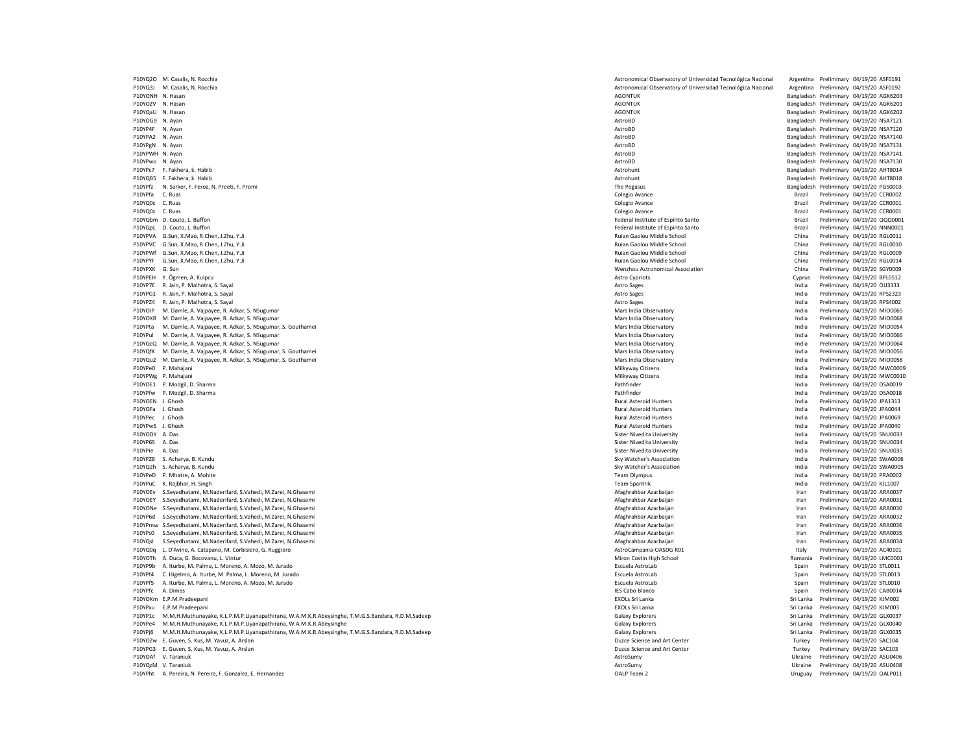P10YQ2O M. Casalis, N. Rocchia <br>P10YQ3J M. Casalis, N. Rocchia Astronomical Observatory of Universidad Tecnológica Nacional Argentina Preliminary 04/19/20 ASF0192<br>P10YQ3J M. Casalis, N. Rocchia Preliminary 04/19/20 ASF0192 P10YQ3J M. Casalis, N. Rocchia Astronomical Observatory of Universidad Tecnológica Nacional Astronomical Observatory of Universidad Tecnológica Nacional Argentina Preliminary 04/1920 Argentina Preliminary 04/19/20 ASF01920 P10YONH N. Hasan AGONTUK Bangladesh Preliminary 04/19/20 AGK6203 P10YOZV N. Hasan 2019/20 AGK6201 NASAn AGONTUK AGONTUK AGONTUK PERSEMBENG PRELiminary 04/19/20 AGK6201 NASAN AGCONTUK AGENERAL PREliminary 04/19/20 AGK6201 NASAN AGENERAL PREliminary 04/19/20 AGK6201 NASAN AGENERAL PRELimi P10YQaU N. Hasan 2019/20 AGK6202 AGONTUK AGONTUK AGONTUK AGONTUK Dangladesh Preliminary 04/19/20 AGK6202 AGK6202 AGK6202 AGK6202 AGK6202 AGK6202 AGK6202 AGK6202 AGK6202 AGK6202 AGK6202 AGK6202 AGK6202 AGK6202 AGK6202 AGK62 P10YOG9 N. Ayan AstroBD Bangladesh Preliminary 04/19/20 NSA7121 P10YPA2 N. Ayan Bangladesh Preliminary 04/19/20 NSA7140<br>P10YPgN N. Ayan Bangladesh Preliminary 04/19/20 NSA7131 P10YPgN N. Ayan Bangladesh Preliminary 04/19/20 NSA7131<br>P10YPWH N. Ayan Bangladesh Preliminary 04/19/20 NSA7141 P10YPwo N. Ayan AstroBD Bangladesh Preliminary 04/19/20 NSA7130 P10YPc7 F. Fakhera, k. Habib Astrohunt Bangladesh Preliminary 04/19/20 AHT8014 P10YPfz N. Sarker, F. Feroz, N. Preeti, F. Promi Call 2012 PGS0003 CSCOO3 PGS0003 CSCOO3 PGS0003 PGS0003 CSCOO3 P10YPfa C. Ruas Colegio Avance Brazil Preliminary 04/19/20 CCR0002 P10YQ0z C. Ruas Colegio Avance Brazil Preliminary 04/19/20 CCR0001 P10YQbm D. Couto, L. Buffon Federal Institute of Espírito Santo Brazil Preliminary 04/19/20 QQQ0001 P10YQpL D. Couto, L. Buffon Brazil Preliminary 04/19/20 NNN0001<br>P10YPVA G.Sun. X.Mao. R.Chen. J.Zhu. Y.Ji Preliminary 04/19/20 NNN0001 Parto Brazil Preliminary 04/19/20 NNN0001<br>P10YPVA G.Sun. X.Mao. R.Chen. J.Zhu. Y.Ji Pre P10YPVA G.Sun, X.Mao, R.Chen, J.Zhu, Y.Ji P10YPVC G.Sun, X.Mao, R.Chen, J.Zhu, Y.Ji Ruian Gaolou Middle School China Preliminary 04/19/20 RGL0010 P10YPWf G.Sun, X.Mao, R.Chen, J.Zhu, Y.Ji Ruian Gaolou Middle School China Preliminary 04/19/20 RGL0009 P10YPYF G.Sun, X.Mao, R.Chen, J.Zhu, Y.Ji P10YPXK G. Sun Wenzhou Astronomical Association China Preliminary 04/19/20 SGY0009 ed P10YPEH Y. Ögmen, A. Kulpcu Preliminary 04/19/20 BPL0512<br>P10YP7E R. Jain, P. Malhotra, S. Sayal (Papillary of Astro Capital Astro Capital Astro Capital Section Astro Computer Astro Capital Astro Computer R. Jain, P. Mal P10YP7E R. Jain, P. Malhotra, S. Sayal **Astro Sages** India Preliminary 04-19 of the last of the last of the last of the last of the last of the last of the last of the last of the last of the last of the last of the last o P10YPG1 R. Jain, P. Malhotra, S. Sayal Astro Sages India Preliminary 04/19/20 RPS2323 P10YPZ4 R. Jain, P. Malhotra, S. Sayal Astro Sages India Preliminary 04/19/20 RPS4002 P10YOIP M. Damle, A. Vajpayee, R. Adkar, S. NSugumar Mars India Observatory Mars India Observatory and the Mars India Observatory of the Mars India Preliminary 04/19/20 MIO0065<br>P10YOXR M. Damle, A. Vajpayee, R. Adkar, S. N P10YOXR M. Damle, A. Vajpayee, R. Adkar, S. NSugumar Mars India Observatory Mars India Observatory and Mars India Observatory and Mars India Orientary of the Mars India Orientary of Preliminary 04/19/20 MIO0068<br>P10YPta M. P10YPta M. Damle, A. Vajpayee, R. Adkar, S. NSugumar, S. Gouthamei Mars India Observatory Mars India Observatory Mars India Observatory India Preliminary 04/19/20 MIO0054<br>P10YPul M. Damle A. Vajpayee, R. Adkar, S. NSugumar P10YPul M. Damle, A. Vajpayee, R. Adkar, S. NSugumar Mars India Observatory Mars India Observatory and the computer of the computation of the computation of the computation of the computation of the computation of the com P10YQcQ M. Damle, A. Vajpayee, R. Adkar, S. NSugumar Mars India Observatory Mars India Observatory of the Mars India Observatory India Preliminary 04/19/20 MIO0064<br>P10YQfK M. Damle. A. Vaipayee. R. Adkar. S. NSugumar. S. P10YQfK M. Damle, A. Vajpayee, R. Adkar, S. NSugumar, S. Gouthamei Mars India Observatory India Observatory India Observatory India Observatory India Observatory India Observatory India Observatory India Preliminary Obser P10YQu2 M. Damle, A. Vajpayee, R. Adkar, S. NSugumar, S. Gouthamei Mars India Observatory Mars India Preliminary of 19920 MIO0058 Mars India Preliminary 04/19/20 MIO0058 Mars India Preliminary 04/19/20 MWC00058 P10YPe0 P. P10YPe0 P. Mahajani Preliminary 04/19/20 MWC0009 P. Milkyway Citizens Milkyway Citizens Milkyway Citizens Milkyway Citizens Milkyway Citizens Milkyway Citizens Milkyway Citizens Milkyway Citizens Milkyway Citizens Milkyway P10YOE1 P. Modgil, D. Sharma Pathfinder India Preliminary 04/19/20 DSA0019 P10YPfw P. Modgil, D. Sharma Pathfinder India Preliminary 04/19/20 DSA0018 P10YOEN J.Ghosh Machinary 04/19/20 JPA1313 Pateroid Hunters Rural Asteroid Hunters and the Preliminary 04/19/20 JPA1313 P10YOFa J. Ghosh Rural Asteroid Hunters India Preliminary 04/19/20 JPA0044 P10YPec J. Ghosh Rural Asteroid Hunters India Preliminary 04/19/20 JPA0069 P10YPw5 J. Ghosh Rural Asteroid Hunters India Preliminary 04/19/20 JPA0040 P10YODY A. Das notination and the preliminary 04/19/20 SNU0033 (Sister Nivedita University Sister Nivedita University Preliminary 04/19/20 SNU0033 P10YP6S A. Das Sister Nivedita University Sister Nivedita University Sister Nivedita University India Preliminary 04/19/20 SNU0034 P10YPie A. Das Sister Nivedita University India Preliminary 04/19/20 SNU0035 P10YPZ8 S. Acharya, B. Kundu Sky Watcher's Association India Preliminary 04/19/20 SWA0006 P10YQ2h S. Acharya, B. Kundu Preliminary 04/19/20 SWA0005 Particularly and the second Sky Watcher's Association Sky Watcher's Association India Preliminary 04/19/20 SWA0005 P10YPeD P. Mhatre, A. Mohite وWhatre, A. Mohite Preliminary 04/19/20 PRA0002<br>P10YPuC K. Rajbhar, H. Singh Preliminary 04/19/20 KL1007 PRAODI2 PRAODI2 PRAODI2 PRAODI2 PRAODI2 PRAODI2 PRAODI and P10YOEv S.Seyedhatami, M.Naderifard, S.Vahedi, M.Zarei, N.Ghasemi Afaghrahbar Azarbaijan Afaghrahbar Azarbaijan Afaghrahbar Azarbaijan Iran Preliminary 04/19/20 ARA0031<br>P10YOEY S.Seyedhatami, M.Naderifard, S.Vahedi, M. P10YOEY S.Seyedhatami, M.Naderifard, S.Vahedi, M.Zarei, N.Ghasemi Afaghrahbar Azarbaijan Iran Preliminary 04/19/20 ARA0031 P10YONe S.Seyedhatami, M.Naderifard, S.Vahedi, M.Zarei, N.Ghasemi Afaghrahbar Azarbaijan Iran Preliminary 04/19/20 ARA0030 P10YP6d S.Seyedhatami, M.Naderifard, S.Vahedi, M.Zarei, N.Ghasemi Afaghrahbar Azarbaijan Iran Preliminary 04/19/20 ARA0032 erimw S.Seyedhatami, M.Naderifard, S.Vahedi, M.Zarei, N.Ghasemi Afaghrahbar Azarbaijan Afaghrahbar Azarbaijan Afaghrahbar Azarbaijan Iran Preliminary 04/19/20 ARA0036<br>P10YPs0 S.Seyedhatami, M.Naderifard, S.Vahedi, M.Zarei, P10YPs0 S.Seyedhatami, M.Naderifard, S.Vahedi, M.Zarei, N.Ghasemi Afaghrahbar Azarbaijan Iran Preliminary 04/19/20 ARA0035 P10YQsI S.Seyedhatami, M.Naderifard, S.Vahedi, M.Zarei, N.Ghasemi Afaghrahbar Azarbaijan Iran Preliminary 04/19/20 ARA0034 P10YQ0q L. D'Avino, A. Catapano, M. Corbisiero, G. Ruggiero AstroCampania-OASDG R01 Italy Preliminary 04/19/20 AC40101<br>P10YOTh A. Duca G. Rocovanu L. Vintur 04/19/20 LMC0001 IMC0001 ASTROCAMPADA ACCORD MICOLOGO METAL ROMAN P10YOTh A. Duca, G. Bocovanu, L. Vintur Niron Miron Costin High School Niron Costin High School Romania Preliminary 04/19/20 LMC0001 P10YP9b A. Iturbe, M. Palma, L. Moreno, A. Mozo, M. Jurado National Astrolab Spain Preliminary 04/19/20 STL0011<br>P10YPf4 C. Higelmo. A. Iturbe, M. Palma, L. Moreno, M. Jurado National AstroLab Spain Preliminary 04/19/20 STL P10YPf4 C. Higelmo, A. Iturbe, M. Palma, L. Moreno, M. Jurado 
Spain Preliminary 04/19/20 Spain Preliminary 04/19/20 Spain Preliminary 04/19/20 Spain Preliminary 04/19/20 Spain Preliminary 04/19/2019 Spain Preliminary 04/1 P10YPf5 A. Iturbe, M. Palma, L. Moreno, A. Mozo, M. Jurado National Astrolab Annual AstroLab Spain Preliminary 04/19/20 STL0010<br>P10YPfc A. Dimas Preliminary 04/19/20 CAB0014 P10YPfc A. Dimas IES Cabo Blanco Spain Preliminary 04/19/20 CAB0014 P10YOKm E.P.M.Pradeepani entertainment of the state of the state of the state of the state of the state of the state of the state of the state of the Sri Lanka Preliminary 04/19/20 KJM002 P10YPxu E.P.M.Pradeepani EXOLs Sri Lanka Sri Lanka Preliminary 04/19/20 KJM003 P10YP1c M.M.H.Muthunayake, K.L.P.M.P.Liyanapathirana, W.A.M.K.R.Abeysinghe, T.M.G.S.Bandara, R.D.M.Sadeep explores and the state of calaxy Explorers states and the Sri Lanka Preliminary 04/19/20 GLX0040<br>P10YPe4 M.M.H.Muthu P10YPe4 M.M.H.Muthunayake, K.L.P.M.P.Liyanapathirana, W.A.M.K.R.Abeysinghe P10YPi6 M.M.H.Muthunayake, K.L.P.M.P.Liyanapathirana, W.A.M.K.R.Abeysinghe, T.M.G.S.Bandara, R.D.M.Sadeep Galaxy Explorers Galaxy Explorers Sri Lanka Preliminary 04/19/20 GLX0035 P10YOZw E. Guven, S. Kus, M. Yavuz, A. Arslan Duzce Science and Art Center Puzze Science and Art Center Preliminary 04/19/20 SAC104 P10YPG3 E. Guven, S. Kus, M. Yavuz, A. Arslan Duzce Science and Art Center Puzze Science and Art Center Preliminary 04/19/20 SAC103 P10YOAf V. Taraniuk AstroSumy Ukraine Preliminary 04/19/20 ASU0406 P10YPht A. Pereira, N. Pereira, F. Gonzalez, E. Hernandez

Physical Preliminary 04/19/20 NSA7120 P10YQzM V. Taraniuk Preliminary 04/19/20 ASU0408<br>P10YPht A. Pereira, P. Pereira, P. Gonzalez, E. Hernandez Channelez Channelez Channelez Channelez Channelez Channelez Channelez Channelez Channelez Channelez Channelez Chann

Bangladesh Preliminary 04/19/20 NSA7141 Bangladesh Preliminary 04/19/20 AHT8018 Preliminary 04/19/20 CCR0001<br>Preliminary 04/19/20 CCR0001 Preliminary 04/19/20 MWC0010 India Preliminary 04/19/20 KJL1007<br>Iran Preliminary 04/19/20 ARA0037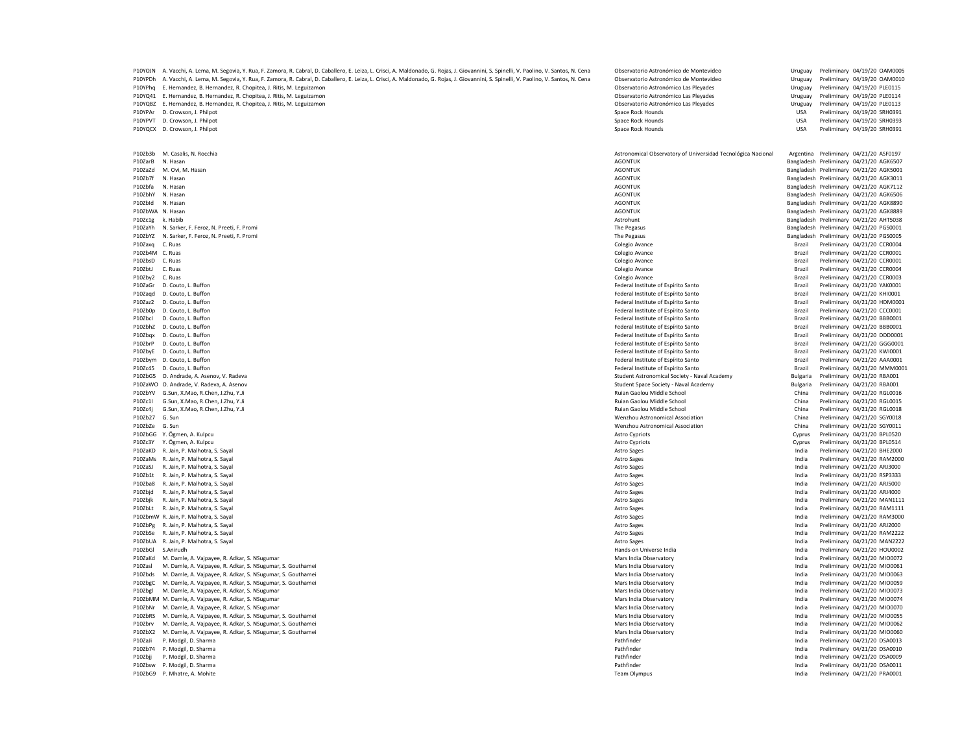|                  | P10YOJN A. Vacchi, A. Lema, M. Segovia, Y. Rua, F. Zamora, R. Cabral, D. Caballero, E. Leiza, L. Crisci, A. Maldonado, G. Rojas, J. Giovannini, S. Spinelli, V. Paolino, V. Santos, N. Cena | Observatorio Astronómico de Montevideo                       | Uruguay         | Preliminary 04/19/20 OAM0005            |
|------------------|---------------------------------------------------------------------------------------------------------------------------------------------------------------------------------------------|--------------------------------------------------------------|-----------------|-----------------------------------------|
| P10YPDh          | A. Vacchi, A. Lema, M. Segovia, Y. Rua, F. Zamora, R. Cabral, D. Caballero, E. Leiza, L. Crisci, A. Maldonado, G. Rojas, J. Giovannini, S. Spinelli, V. Paolino, V. Santos, N. Cena         | Observatorio Astronómico de Montevideo                       | Uruguay         | Preliminary 04/19/20 OAM0010            |
| P10YPha          | E. Hernandez, B. Hernandez, R. Chopitea, J. Ritis, M. Leguizamon                                                                                                                            | Observatorio Astronómico Las Plevades                        | Uruguay         | Preliminary 04/19/20 PLE0115            |
| P10YO41          | E. Hernandez, B. Hernandez, R. Chopitea, J. Ritis, M. Leguizamon                                                                                                                            | Observatorio Astronómico Las Pleyades                        | Uruguay         | Preliminary 04/19/20 PLE0114            |
| P10YOB7          |                                                                                                                                                                                             |                                                              |                 |                                         |
|                  | E. Hernandez, B. Hernandez, R. Chopitea, J. Ritis, M. Leguizamon                                                                                                                            | Observatorio Astronómico Las Pleyades                        | Uruguay         | Preliminary 04/19/20 PLE0113            |
| P10YPAr          | D. Crowson, J. Philpot                                                                                                                                                                      | Space Rock Hounds                                            | <b>USA</b>      | Preliminary 04/19/20 SRH0391            |
| P10YPVT          | D. Crowson, J. Philpot                                                                                                                                                                      | Space Rock Hounds                                            | <b>USA</b>      | Preliminary 04/19/20 SRH0393            |
| P10YQCX          | D. Crowson, J. Philpot                                                                                                                                                                      | Space Rock Hounds                                            | USA             | Preliminary 04/19/20 SRH0391            |
|                  |                                                                                                                                                                                             |                                                              |                 |                                         |
| P10Zb3b          | M. Casalis, N. Rocchia                                                                                                                                                                      | Astronomical Observatory of Universidad Tecnológica Nacional |                 | Argentina Preliminary 04/21/20 ASF0197  |
| P10ZarB          | N. Hasan                                                                                                                                                                                    | <b>AGONTUK</b>                                               |                 | Bangladesh Preliminary 04/21/20 AGK6507 |
|                  |                                                                                                                                                                                             |                                                              |                 |                                         |
| P10ZaZd          | M. Ovi, M. Hasan                                                                                                                                                                            | <b>AGONTUK</b>                                               |                 | Bangladesh Preliminary 04/21/20 AGK5001 |
| P10Zb7f          | N. Hasan                                                                                                                                                                                    | <b>AGONTUK</b>                                               |                 | Bangladesh Preliminary 04/21/20 AGK3011 |
| P10Zbfa          | N. Hasan                                                                                                                                                                                    | <b>AGONTUK</b>                                               |                 | Bangladesh Preliminary 04/21/20 AGK7112 |
| P107bhY          | N. Hasan                                                                                                                                                                                    | <b>AGONTUK</b>                                               |                 | Bangladesh Preliminary 04/21/20 AGK6506 |
| P10Zbld          | N. Hasan                                                                                                                                                                                    | <b>AGONTUK</b>                                               |                 | Bangladesh Preliminary 04/21/20 AGK8890 |
|                  |                                                                                                                                                                                             |                                                              |                 |                                         |
| P10ZbWA N. Hasan |                                                                                                                                                                                             | <b>AGONTUK</b>                                               |                 | Bangladesh Preliminary 04/21/20 AGK8889 |
| P10Zc1g          | k. Habib                                                                                                                                                                                    | Astrohunt                                                    |                 | Bangladesh Preliminary 04/21/20 AHT5038 |
| P10ZaYh          | N. Sarker, F. Feroz, N. Preeti, F. Promi                                                                                                                                                    | The Pegasus                                                  |                 | Bangladesh Preliminary 04/21/20 PGS0001 |
| P10ZbYZ          | N. Sarker, F. Feroz, N. Preeti, F. Promi                                                                                                                                                    | The Pegasus                                                  |                 | Bangladesh Preliminary 04/21/20 PGS0005 |
| P10Zaxo          | C. Ruas                                                                                                                                                                                     | Colegio Avance                                               | Brazil          | Preliminary 04/21/20 CCR0004            |
|                  |                                                                                                                                                                                             |                                                              |                 |                                         |
| P10Zb4M          | C. Ruas                                                                                                                                                                                     | Colegio Avance                                               | Brazil          | Preliminary 04/21/20 CCR0001            |
| P10ZbsD          | C. Ruas                                                                                                                                                                                     | Colegio Avance                                               | Brazil          | Preliminary 04/21/20 CCR0001            |
| P10ZbtJ          | C. Ruas                                                                                                                                                                                     | Colegio Avance                                               | Brazil          | Preliminary 04/21/20 CCR0004            |
| P10Zby2          | C. Ruas                                                                                                                                                                                     | Colegio Avance                                               | Brazil          | Preliminary 04/21/20 CCR0003            |
|                  |                                                                                                                                                                                             |                                                              |                 |                                         |
| P10ZaGr          | D. Couto, L. Buffon                                                                                                                                                                         | Federal Institute of Espírito Santo                          | Brazil          | Preliminary 04/21/20 YAK0001            |
| P10Zaqd          | D. Couto, L. Buffon                                                                                                                                                                         | Federal Institute of Espírito Santo                          | Brazil          | Preliminary 04/21/20 KHI0001            |
| P10Zaz2          | D. Couto, L. Buffon                                                                                                                                                                         | Federal Institute of Espírito Santo                          | Brazil          | Preliminary 04/21/20 HDM0001            |
| P10Zb0p          | D. Couto, L. Buffon                                                                                                                                                                         | Federal Institute of Espírito Santo                          | Brazil          | Preliminary 04/21/20 CCC0001            |
| P10Zbcl          | D. Couto, L. Buffon                                                                                                                                                                         | Federal Institute of Espírito Santo                          | Brazil          | Preliminary 04/21/20 BBB0001            |
|                  |                                                                                                                                                                                             |                                                              |                 |                                         |
| P10ZbhZ          | D. Couto, L. Buffon                                                                                                                                                                         | Federal Institute of Espírito Santo                          | Brazil          | Preliminary 04/21/20 BBB0001            |
| P10Zbax          | D. Couto, L. Buffor                                                                                                                                                                         | Federal Institute of Espírito Santo                          | Brazil          | Preliminary 04/21/20 DDD0001            |
| P10ZbrP          | D. Couto, L. Buffon                                                                                                                                                                         | Federal Institute of Espírito Santo                          | Brazil          | Preliminary 04/21/20 GGG0001            |
| P10ZbyE          | D. Couto, L. Buffon                                                                                                                                                                         | Federal Institute of Espírito Santo                          | Brazil          | Preliminary 04/21/20 KWI0001            |
| P10Zbym          | D. Couto, L. Buffon                                                                                                                                                                         | Federal Institute of Espírito Santo                          | Brazil          | Preliminary 04/21/20 AAA0001            |
|                  |                                                                                                                                                                                             |                                                              |                 |                                         |
| P10Zc45          | D. Couto, L. Buffon                                                                                                                                                                         | Federal Institute of Espírito Santo                          | Brazil          | Preliminary 04/21/20 MMM000             |
| P10ZbG5          | O. Andrade, A. Asenov, V. Radeva                                                                                                                                                            | Student Astronomical Society - Naval Academy                 | <b>Bulgaria</b> | Preliminary 04/21/20 RBA001             |
|                  | P10ZaWO O. Andrade, V. Radeva, A. Asenov                                                                                                                                                    | Student Space Society - Naval Academy                        | <b>Bulgaria</b> | Preliminary 04/21/20 RBA001             |
| P107bYV          | G.Sun, X.Mao, R.Chen, J.Zhu, Y.Ji                                                                                                                                                           | Ruian Gaolou Middle School                                   | China           | Preliminary 04/21/20 RGL0016            |
| P10Zc1I          | G.Sun, X.Mao, R.Chen, J.Zhu, Y.Ji                                                                                                                                                           | Ruian Gaolou Middle School                                   | China           | Preliminary 04/21/20 RGL0015            |
|                  |                                                                                                                                                                                             |                                                              |                 |                                         |
| P10Zc4j          | G.Sun, X.Mao, R.Chen, J.Zhu, Y.Ji                                                                                                                                                           | Ruian Gaolou Middle School                                   | China           | Preliminary 04/21/20 RGL0018            |
| P10Zb27          | G. Sun                                                                                                                                                                                      | Wenzhou Astronomical Association                             | China           | Preliminary 04/21/20 SGY0018            |
| P10ZbZe          | G. Sun                                                                                                                                                                                      | Wenzhou Astronomical Association                             | China           | Preliminary 04/21/20 SGY0011            |
| P10ZbGG          | Y. Ögmen, A. Kulpcu                                                                                                                                                                         | <b>Astro Cypriots</b>                                        | Cyprus          | Preliminary 04/21/20 BPL0520            |
| P107c3Y          |                                                                                                                                                                                             |                                                              |                 | Preliminary 04/21/20 BPL0514            |
|                  | Y. Ögmen, A. Kulpcu                                                                                                                                                                         | <b>Astro Cypriots</b>                                        | Cyprus          |                                         |
| P107aKD          | R. Jain, P. Malhotra, S. Sayal                                                                                                                                                              | <b>Astro Sages</b>                                           | India           | Preliminary 04/21/20 BHE2000            |
| P10ZaMs          | R. Jain, P. Malhotra, S. Sayal                                                                                                                                                              | Astro Sages                                                  | India           | Preliminary 04/21/20 RAM2000            |
| P10ZaSJ          | R. Jain, P. Malhotra, S. Sayal                                                                                                                                                              | <b>Astro Sages</b>                                           | India           | Preliminary 04/21/20 ARJ3000            |
| P107b1t          | R. Jain, P. Malhotra, S. Sayal                                                                                                                                                              | <b>Astro Sages</b>                                           | India           | Preliminary 04/21/20 RSP3333            |
| P107ba8          | R. Jain, P. Malhotra, S. Sayal                                                                                                                                                              | <b>Astro Sages</b>                                           | India           | Preliminary 04/21/20 ARJ5000            |
|                  |                                                                                                                                                                                             |                                                              |                 |                                         |
| P10Zbjd          | R. Jain, P. Malhotra, S. Sayal                                                                                                                                                              | <b>Astro Sages</b>                                           | India           | Preliminary 04/21/20 ARJ4000            |
| P10Zbik          | R. Jain, P. Malhotra, S. Sayal                                                                                                                                                              | Astro Sages                                                  | India           | Preliminary 04/21/20 MAN1111            |
|                  | P10ZbLt R. Jain, P. Malhotra, S. Sayal                                                                                                                                                      | <b>Astro Sages</b>                                           | India           | Preliminary 04/21/20 RAM1111            |
|                  | P10ZbmW R. Jain, P. Malhotra, S. Sayal                                                                                                                                                      |                                                              | India           | Preliminary 04/21/20 RAM3000            |
|                  |                                                                                                                                                                                             | Astro Sages                                                  |                 |                                         |
|                  | P10ZbPg R. Jain, P. Malhotra, S. Sayal                                                                                                                                                      | Astro Sages                                                  | India           | Preliminary 04/21/20 ARJ2000            |
|                  | P10ZbSe R. Jain, P. Malhotra, S. Sayal                                                                                                                                                      | Astro Sages                                                  | India           | Preliminary 04/21/20 RAM2222            |
|                  | P10ZbUA R. Jain, P. Malhotra, S. Sayal                                                                                                                                                      | Astro Sages                                                  | India           | Preliminary 04/21/20 MAN2222            |
| P10ZbGl          | S.Anirudh                                                                                                                                                                                   | Hands-on Universe India                                      | India           | Preliminary 04/21/20 HOU0002            |
|                  |                                                                                                                                                                                             |                                                              |                 |                                         |
| P10ZaKd          | M. Damle, A. Vajpayee, R. Adkar, S. NSugumar                                                                                                                                                | Mars India Observatory                                       | India           | Preliminary 04/21/20 MIO0072            |
| P10Zasl          | M. Damle, A. Vajpayee, R. Adkar, S. NSugumar, S. Gouthamei                                                                                                                                  | Mars India Observatory                                       | India           | Preliminary 04/21/20 MIO0061            |
| P10Zbds          | M. Damle, A. Vajpayee, R. Adkar, S. NSugumar, S. Gouthamei                                                                                                                                  | Mars India Observatory                                       | India           | Preliminary 04/21/20 MIO0063            |
| P10ZbgC          | M. Damle, A. Vajpayee, R. Adkar, S. NSugumar, S. Gouthamei                                                                                                                                  | Mars India Observatory                                       | India           | Preliminary 04/21/20 MIO0059            |
| P10Zbgl          | M. Damle, A. Vajpayee, R. Adkar, S. NSugumar                                                                                                                                                | Mars India Observatory                                       | India           | Preliminary 04/21/20 MIO0073            |
|                  |                                                                                                                                                                                             | Mars India Observatory                                       | India           | Preliminary 04/21/20 MIO0074            |
|                  | P10ZbMM M. Damle, A. Vajpayee, R. Adkar, S. NSugumar                                                                                                                                        |                                                              |                 |                                         |
|                  | P10ZbNr M. Damle, A. Vajpayee, R. Adkar, S. NSugumar                                                                                                                                        | Mars India Observatory                                       | India           | Preliminary 04/21/20 MIO0070            |
|                  | P10ZbRS M. Damle, A. Vajpayee, R. Adkar, S. NSugumar, S. Gouthamei                                                                                                                          | Mars India Observatory                                       | India           | Preliminary 04/21/20 MIO0055            |
|                  | P10Zbrv M. Damle, A. Vajpayee, R. Adkar, S. NSugumar, S. Gouthamei                                                                                                                          | Mars India Observatory                                       | India           | Preliminary 04/21/20 MIO0062            |
|                  | P10ZbX2 M. Damle, A. Vajpayee, R. Adkar, S. NSugumar, S. Gouthamei                                                                                                                          | Mars India Observatory                                       | India           | Preliminary 04/21/20 MIO0060            |
|                  |                                                                                                                                                                                             |                                                              |                 |                                         |
| P10ZaJi          | P. Modgil, D. Sharma                                                                                                                                                                        | Pathfinder                                                   | India           | Preliminary 04/21/20 DSA0013            |
|                  | P10Zb74 P. Modgil, D. Sharma                                                                                                                                                                | Pathfinder                                                   | India           | Preliminary 04/21/20 DSA0010            |
| P10Zbjj          | P. Modgil, D. Sharma                                                                                                                                                                        | Pathfinder                                                   | India           | Preliminary 04/21/20 DSA0009            |
|                  | P10Zbsw P. Modgil, D. Sharma                                                                                                                                                                | Pathfinder                                                   | India           | Preliminary 04/21/20 DSA0011            |
|                  | P10ZbG9 P. Mhatre, A. Mohite                                                                                                                                                                | Team Olympus                                                 | India           | Preliminary 04/21/20 PRA0001            |
|                  |                                                                                                                                                                                             |                                                              |                 |                                         |